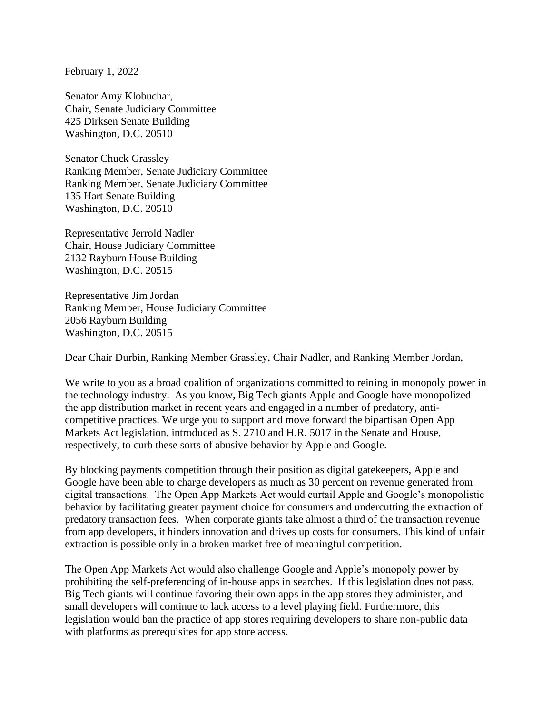February 1, 2022

Senator Amy Klobuchar, Chair, Senate Judiciary Committee 425 Dirksen Senate Building Washington, D.C. 20510

Senator Chuck Grassley Ranking Member, Senate Judiciary Committee Ranking Member, Senate Judiciary Committee 135 Hart Senate Building Washington, D.C. 20510

Representative Jerrold Nadler Chair, House Judiciary Committee 2132 Rayburn House Building Washington, D.C. 20515

Representative Jim Jordan Ranking Member, House Judiciary Committee 2056 Rayburn Building Washington, D.C. 20515

Dear Chair Durbin, Ranking Member Grassley, Chair Nadler, and Ranking Member Jordan,

We write to you as a broad coalition of organizations committed to reining in monopoly power in the technology industry. As you know, Big Tech giants Apple and Google have monopolized the app distribution market in recent years and engaged in a number of predatory, anticompetitive practices. We urge you to support and move forward the bipartisan Open App Markets Act legislation, introduced as S. 2710 and H.R. 5017 in the Senate and House, respectively, to curb these sorts of abusive behavior by Apple and Google.

By blocking payments competition through their position as digital gatekeepers, Apple and Google have been able to charge developers as much as 30 percent on revenue generated from digital transactions. The Open App Markets Act would curtail Apple and Google's monopolistic behavior by facilitating greater payment choice for consumers and undercutting the extraction of predatory transaction fees. When corporate giants take almost a third of the transaction revenue from app developers, it hinders innovation and drives up costs for consumers. This kind of unfair extraction is possible only in a broken market free of meaningful competition.

The Open App Markets Act would also challenge Google and Apple's monopoly power by prohibiting the self-preferencing of in-house apps in searches. If this legislation does not pass, Big Tech giants will continue favoring their own apps in the app stores they administer, and small developers will continue to lack access to a level playing field. Furthermore, this legislation would ban the practice of app stores requiring developers to share non-public data with platforms as prerequisites for app store access.